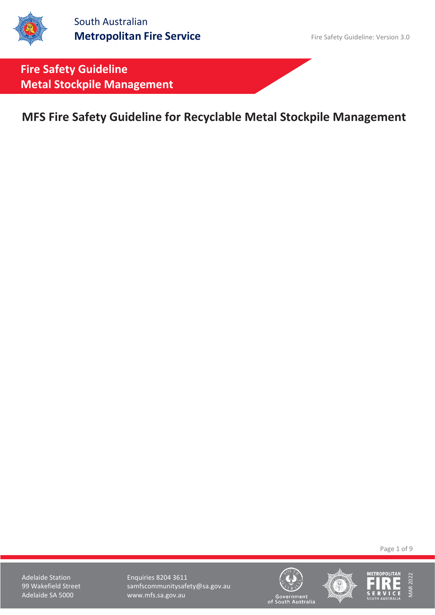**Fire Safety Guideline Metal Stockpile Management**

## **MFS Fire Safety Guideline for Recyclable Metal Stockpile Management**

Page 1 of 9

Adelaide Station **Enquiries 8204 3611** 99 Wakefield Street samfscommunitysafety@sa.gov.au<br>Adelaide SA 5000 www.mfs.sa.gov.au www.mfs.sa.gov.au





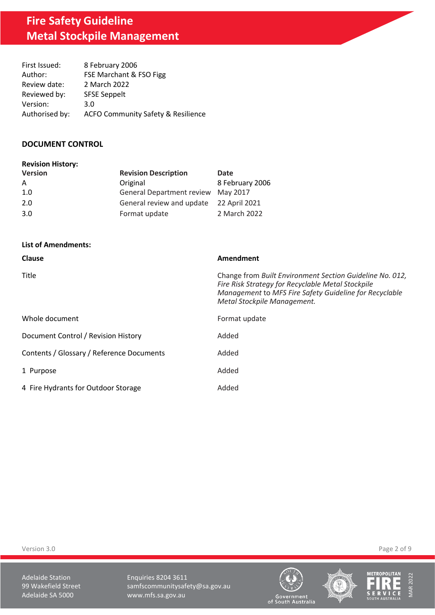# **Fire Safety Guideline Metal Stockpile Management**

| First Issued:  | 8 February 2006                               |
|----------------|-----------------------------------------------|
| Author:        | FSE Marchant & FSO Figg                       |
| Review date:   | 2 March 2022                                  |
| Reviewed by:   | <b>SFSE Seppelt</b>                           |
| Version:       | 3.0                                           |
| Authorised by: | <b>ACFO Community Safety &amp; Resilience</b> |

### **DOCUMENT CONTROL**

| <b>Version</b> | <b>Revision Description</b>             | Date            |
|----------------|-----------------------------------------|-----------------|
| A              | Original                                | 8 February 2006 |
| 1.0            | General Department review May 2017      |                 |
| 2.0            | General review and update 22 April 2021 |                 |
| 3.0            | Format update                           | 2 March 2022    |

### **List of Amendments:**

| Clause                                    | Amendment                                                                                                                                                                                              |
|-------------------------------------------|--------------------------------------------------------------------------------------------------------------------------------------------------------------------------------------------------------|
| Title                                     | Change from Built Environment Section Guideline No. 012,<br>Fire Risk Strategy for Recyclable Metal Stockpile<br>Management to MFS Fire Safety Guideline for Recyclable<br>Metal Stockpile Management. |
| Whole document                            | Format update                                                                                                                                                                                          |
| Document Control / Revision History       | Added                                                                                                                                                                                                  |
| Contents / Glossary / Reference Documents | Added                                                                                                                                                                                                  |
| 1 Purpose                                 | Added                                                                                                                                                                                                  |
| 4 Fire Hydrants for Outdoor Storage       | Added                                                                                                                                                                                                  |

Version 3.0 Page 2 of 9

Adelaide Station **Enquiries 8204 3611** 99 Wakefield Street samfscommunitysafety@sa.gov.au<br>Adelaide SA 5000 www.mfs.sa.gov.au www.mfs.sa.gov.au







MAR 2022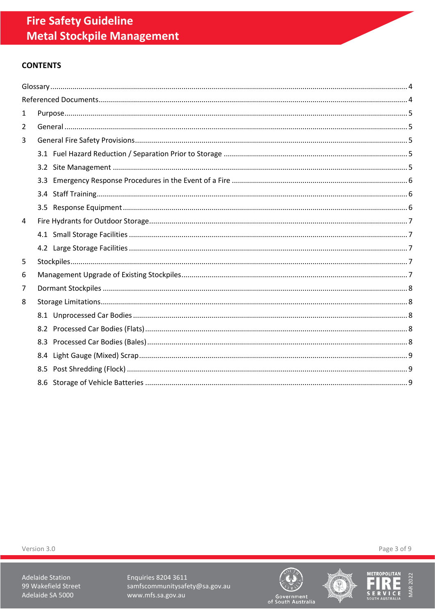### **CONTENTS**

| 1 |  |
|---|--|
| 2 |  |
| 3 |  |
|   |  |
|   |  |
|   |  |
|   |  |
|   |  |
| 4 |  |
|   |  |
|   |  |
| 5 |  |
| 6 |  |
| 7 |  |
| 8 |  |
|   |  |
|   |  |
|   |  |
|   |  |
|   |  |
|   |  |

Version 3.0

Adelaide Station 99 Wakefield Street Adelaide SA 5000

Enquiries 8204 3611 samfscommunitysafety@sa.gov.au www.mfs.sa.gov.au







Page 3 of 9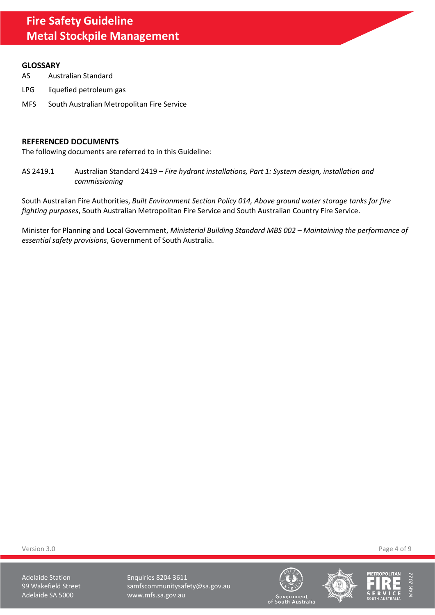#### <span id="page-3-0"></span>**GLOSSARY**

- AS Australian Standard
- LPG liquefied petroleum gas
- MFS South Australian Metropolitan Fire Service

#### <span id="page-3-1"></span>**REFERENCED DOCUMENTS**

The following documents are referred to in this Guideline:

AS 2419.1 Australian Standard 2419 – *Fire hydrant installations, Part 1: System design, installation and commissioning*

South Australian Fire Authorities, *Built Environment Section Policy 014, Above ground water storage tanks for fire fighting purposes*, South Australian Metropolitan Fire Service and South Australian Country Fire Service.

Minister for Planning and Local Government, *Ministerial Building Standard MBS 002 – Maintaining the performance of essential safety provisions*, Government of South Australia.

Version 3.0 Page 4 of 9

Adelaide Station **Enquiries 8204 3611** 99 Wakefield Street samfscommunitysafety@sa.gov.au Adelaide SA 5000 www.mfs.sa.gov.au





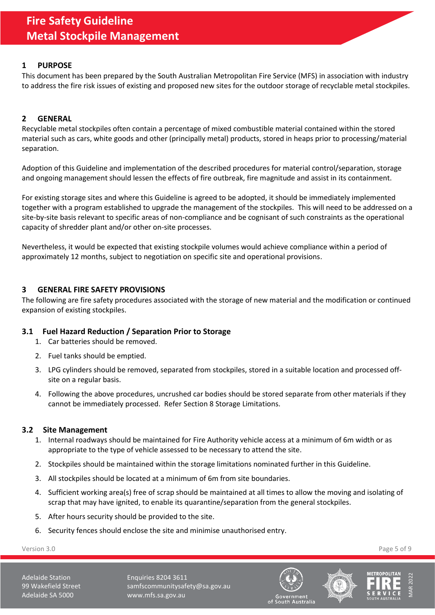### <span id="page-4-0"></span>**1 PURPOSE**

This document has been prepared by the South Australian Metropolitan Fire Service (MFS) in association with industry to address the fire risk issues of existing and proposed new sites for the outdoor storage of recyclable metal stockpiles.

### <span id="page-4-1"></span>**2 GENERAL**

Recyclable metal stockpiles often contain a percentage of mixed combustible material contained within the stored material such as cars, white goods and other (principally metal) products, stored in heaps prior to processing/material separation.

Adoption of this Guideline and implementation of the described procedures for material control/separation, storage and ongoing management should lessen the effects of fire outbreak, fire magnitude and assist in its containment.

For existing storage sites and where this Guideline is agreed to be adopted, it should be immediately implemented together with a program established to upgrade the management of the stockpiles. This will need to be addressed on a site-by-site basis relevant to specific areas of non-compliance and be cognisant of such constraints as the operational capacity of shredder plant and/or other on-site processes.

Nevertheless, it would be expected that existing stockpile volumes would achieve compliance within a period of approximately 12 months, subject to negotiation on specific site and operational provisions.

### <span id="page-4-2"></span>**3 GENERAL FIRE SAFETY PROVISIONS**

The following are fire safety procedures associated with the storage of new material and the modification or continued expansion of existing stockpiles.

### <span id="page-4-3"></span>**3.1 Fuel Hazard Reduction / Separation Prior to Storage**

- 1. Car batteries should be removed.
- 2. Fuel tanks should be emptied.
- 3. LPG cylinders should be removed, separated from stockpiles, stored in a suitable location and processed offsite on a regular basis.
- 4. Following the above procedures, uncrushed car bodies should be stored separate from other materials if they cannot be immediately processed. Refer Sectio[n 8](#page-7-1) Storage Limitations.

### <span id="page-4-4"></span>**3.2 Site Management**

- 1. Internal roadways should be maintained for Fire Authority vehicle access at a minimum of 6m width or as appropriate to the type of vehicle assessed to be necessary to attend the site.
- 2. Stockpiles should be maintained within the storage limitations nominated further in this Guideline.
- 3. All stockpiles should be located at a minimum of 6m from site boundaries.
- 4. Sufficient working area(s) free of scrap should be maintained at all times to allow the moving and isolating of scrap that may have ignited, to enable its quarantine/separation from the general stockpiles.
- 5. After hours security should be provided to the site.
- 6. Security fences should enclose the site and minimise unauthorised entry.

Version 3.0 Page 5 of 9

Adelaide Station **Enquiries 8204 3611** 99 Wakefield Street samfscommunitysafety@sa.gov.au Adelaide SA 5000 www.mfs.sa.gov.au





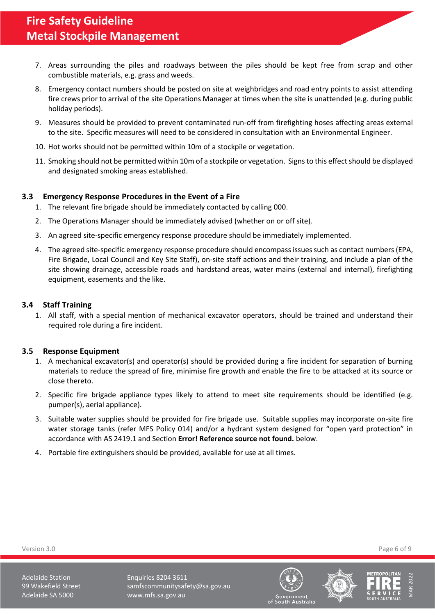- 7. Areas surrounding the piles and roadways between the piles should be kept free from scrap and other combustible materials, e.g. grass and weeds.
- 8. Emergency contact numbers should be posted on site at weighbridges and road entry points to assist attending fire crews prior to arrival of the site Operations Manager at times when the site is unattended (e.g. during public holiday periods).
- 9. Measures should be provided to prevent contaminated run-off from firefighting hoses affecting areas external to the site. Specific measures will need to be considered in consultation with an Environmental Engineer.
- 10. Hot works should not be permitted within 10m of a stockpile or vegetation.
- 11. Smoking should not be permitted within 10m of a stockpile or vegetation. Signs to this effect should be displayed and designated smoking areas established.

### <span id="page-5-0"></span>**3.3 Emergency Response Procedures in the Event of a Fire**

- 1. The relevant fire brigade should be immediately contacted by calling 000.
- 2. The Operations Manager should be immediately advised (whether on or off site).
- 3. An agreed site-specific emergency response procedure should be immediately implemented.
- 4. The agreed site-specific emergency response procedure should encompass issues such as contact numbers (EPA, Fire Brigade, Local Council and Key Site Staff), on-site staff actions and their training, and include a plan of the site showing drainage, accessible roads and hardstand areas, water mains (external and internal), firefighting equipment, easements and the like.

### <span id="page-5-1"></span>**3.4 Staff Training**

1. All staff, with a special mention of mechanical excavator operators, should be trained and understand their required role during a fire incident.

### <span id="page-5-2"></span>**3.5 Response Equipment**

- 1. A mechanical excavator(s) and operator(s) should be provided during a fire incident for separation of burning materials to reduce the spread of fire, minimise fire growth and enable the fire to be attacked at its source or close thereto.
- 2. Specific fire brigade appliance types likely to attend to meet site requirements should be identified (e.g. pumper(s), aerial appliance).
- 3. Suitable water supplies should be provided for fire brigade use. Suitable supplies may incorporate on-site fire water storage tanks (refer MFS Policy 014) and/or a hydrant system designed for "open yard protection" in accordance with AS 2419.1 and Section **Error! Reference source not found.** below.
- 4. Portable fire extinguishers should be provided, available for use at all times.



Version 3.0 Page 6 of 9

Adelaide Station **Enquiries 8204 3611** 99 Wakefield Street samfscommunitysafety@sa.gov.au Adelaide SA 5000 www.mfs.sa.gov.au



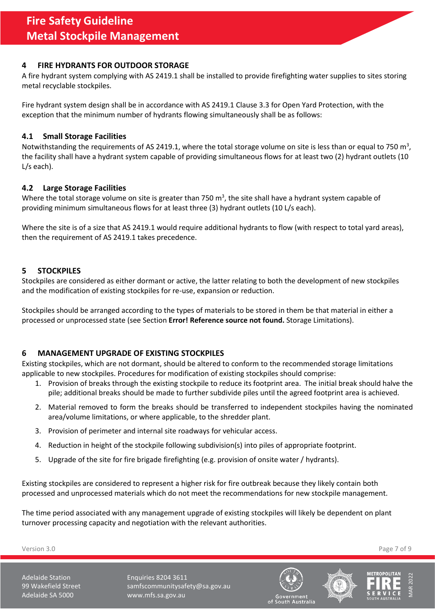## **Fire Safety Guideline Metal Stockpile Management**

### <span id="page-6-0"></span>**4 FIRE HYDRANTS FOR OUTDOOR STORAGE**

A fire hydrant system complying with AS 2419.1 shall be installed to provide firefighting water supplies to sites storing metal recyclable stockpiles.

Fire hydrant system design shall be in accordance with AS 2419.1 Clause 3.3 for Open Yard Protection, with the exception that the minimum number of hydrants flowing simultaneously shall be as follows:

### <span id="page-6-1"></span>**4.1 Small Storage Facilities**

Notwithstanding the requirements of AS 2419.1, where the total storage volume on site is less than or equal to 750 m<sup>3</sup>, the facility shall have a hydrant system capable of providing simultaneous flows for at least two (2) hydrant outlets (10 L/s each).

### <span id="page-6-2"></span>**4.2 Large Storage Facilities**

Where the total storage volume on site is greater than 750  $m^3$ , the site shall have a hydrant system capable of providing minimum simultaneous flows for at least three (3) hydrant outlets (10 L/s each).

Where the site is of a size that AS 2419.1 would require additional hydrants to flow (with respect to total yard areas), then the requirement of AS 2419.1 takes precedence.

### <span id="page-6-3"></span>**5 STOCKPILES**

Stockpiles are considered as either dormant or active, the latter relating to both the development of new stockpiles and the modification of existing stockpiles for re-use, expansion or reduction.

Stockpiles should be arranged according to the types of materials to be stored in them be that material in either a processed or unprocessed state (see Section **Error! Reference source not found.** Storage Limitations).

### <span id="page-6-4"></span>**6 MANAGEMENT UPGRADE OF EXISTING STOCKPILES**

Existing stockpiles, which are not dormant, should be altered to conform to the recommended storage limitations applicable to new stockpiles. Procedures for modification of existing stockpiles should comprise:

- 1. Provision of breaks through the existing stockpile to reduce its footprint area. The initial break should halve the pile; additional breaks should be made to further subdivide piles until the agreed footprint area is achieved.
- 2. Material removed to form the breaks should be transferred to independent stockpiles having the nominated area/volume limitations, or where applicable, to the shredder plant.
- 3. Provision of perimeter and internal site roadways for vehicular access.
- 4. Reduction in height of the stockpile following subdivision(s) into piles of appropriate footprint.
- 5. Upgrade of the site for fire brigade firefighting (e.g. provision of onsite water / hydrants).

Existing stockpiles are considered to represent a higher risk for fire outbreak because they likely contain both processed and unprocessed materials which do not meet the recommendations for new stockpile management.

The time period associated with any management upgrade of existing stockpiles will likely be dependent on plant turnover processing capacity and negotiation with the relevant authorities.

Version 3.0 Page 7 of 9

Adelaide Station **Enquiries 8204 3611** 99 Wakefield Street samfscommunitysafety@sa.gov.au Adelaide SA 5000 www.mfs.sa.gov.au





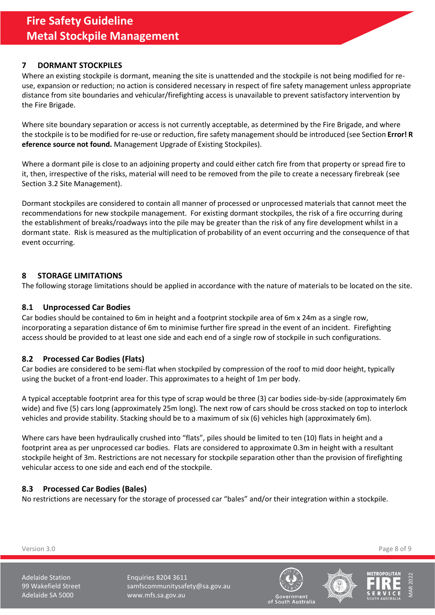### <span id="page-7-0"></span>**7 DORMANT STOCKPILES**

Where an existing stockpile is dormant, meaning the site is unattended and the stockpile is not being modified for reuse, expansion or reduction; no action is considered necessary in respect of fire safety management unless appropriate distance from site boundaries and vehicular/firefighting access is unavailable to prevent satisfactory intervention by the Fire Brigade.

Where site boundary separation or access is not currently acceptable, as determined by the Fire Brigade, and where the stockpile is to be modified for re-use or reduction, fire safety management should be introduced (see Section **Error! R eference source not found.** Management Upgrade of Existing Stockpiles).

Where a dormant pile is close to an adjoining property and could either catch fire from that property or spread fire to it, then, irrespective of the risks, material will need to be removed from the pile to create a necessary firebreak (see Sectio[n 3.2](#page-4-4) Site Management).

Dormant stockpiles are considered to contain all manner of processed or unprocessed materials that cannot meet the recommendations for new stockpile management. For existing dormant stockpiles, the risk of a fire occurring during the establishment of breaks/roadways into the pile may be greater than the risk of any fire development whilst in a dormant state. Risk is measured as the multiplication of probability of an event occurring and the consequence of that event occurring.

### <span id="page-7-1"></span>**8 STORAGE LIMITATIONS**

The following storage limitations should be applied in accordance with the nature of materials to be located on the site.

### <span id="page-7-2"></span>**8.1 Unprocessed Car Bodies**

Car bodies should be contained to 6m in height and a footprint stockpile area of 6m x 24m as a single row, incorporating a separation distance of 6m to minimise further fire spread in the event of an incident. Firefighting access should be provided to at least one side and each end of a single row of stockpile in such configurations.

### <span id="page-7-3"></span>**8.2 Processed Car Bodies (Flats)**

Car bodies are considered to be semi-flat when stockpiled by compression of the roof to mid door height, typically using the bucket of a front-end loader. This approximates to a height of 1m per body.

A typical acceptable footprint area for this type of scrap would be three (3) car bodies side-by-side (approximately 6m wide) and five (5) cars long (approximately 25m long). The next row of cars should be cross stacked on top to interlock vehicles and provide stability. Stacking should be to a maximum of six (6) vehicles high (approximately 6m).

Where cars have been hydraulically crushed into "flats", piles should be limited to ten (10) flats in height and a footprint area as per unprocessed car bodies. Flats are considered to approximate 0.3m in height with a resultant stockpile height of 3m. Restrictions are not necessary for stockpile separation other than the provision of firefighting vehicular access to one side and each end of the stockpile.

### <span id="page-7-4"></span>**8.3 Processed Car Bodies (Bales)**

No restrictions are necessary for the storage of processed car "bales" and/or their integration within a stockpile.

Version 3.0 Page 8 of 9

MAR 2022

Adelaide Station **Enquiries 8204 3611** 99 Wakefield Street samfscommunitysafety@sa.gov.au Adelaide SA 5000 www.mfs.sa.gov.au